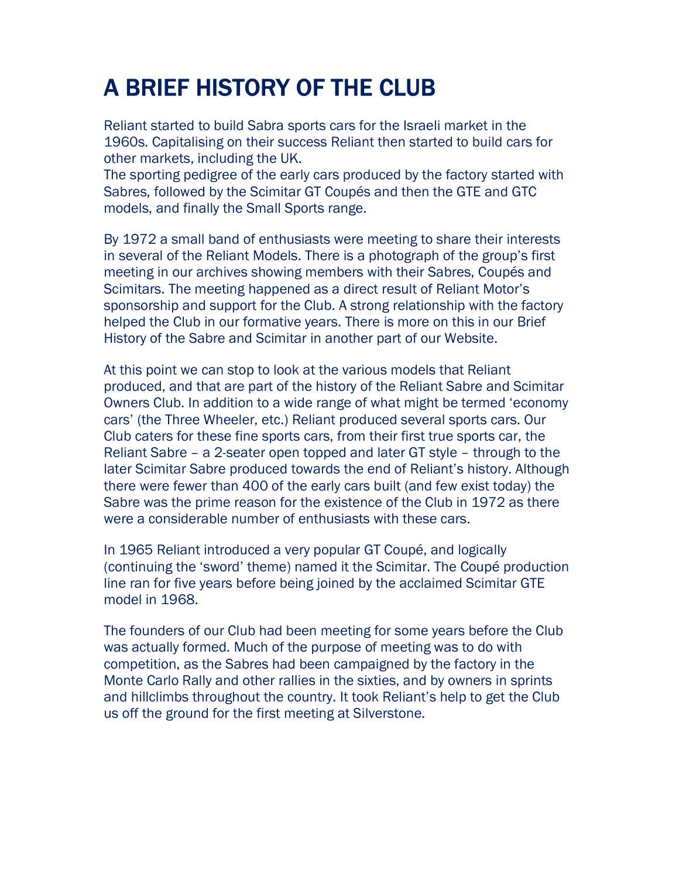## A BRIEF HISTORY OF THE CLUB

Reliant started to build Sabra sports cars for the Israeli market in the 1960s. Capitalising on their success Reliant then started to build cars for other markets, including the UK.

The sporting pedigree of the early cars produced by the factory started with Sabres, followed by the Scimitar GT Coupés and then the GTE and GTC models, and finally the Small Sports range.

By 1972 a small band of enthusiasts were meeting to share their interests in several of the Reliant Models. There is a photograph of the group's first meeting in our archives showing members with their Sabres, Coupés and Scimitars. The meeting happened as a direct result of Reliant Motor's sponsorship and support for the Club. A strong relationship with the factory helped the Club in our formative years. There is more on this in our Brief History of the Sabre and Scimitar in another part of our Website.

At this point we can stop to look at the various models that Reliant produced, and that are part of the history of the Reliant Sabre and Scimitar Owners Club. In addition to a wide range of what might be termed 'economy cars' (the Three Wheeler, etc.) Reliant produced several sports cars. Our Club caters for these fine sports cars, from their first true sports car, the Reliant Sabre – a 2-seater open topped and later GT style – through to the later Scimitar Sabre produced towards the end of Reliant's history. Although there were fewer than 400 of the early cars built (and few exist today) the Sabre was the prime reason for the existence of the Club in 1972 as there were a considerable number of enthusiasts with these cars.

In 1965 Reliant introduced a very popular GT Coupé, and logically (continuing the 'sword' theme) named it the Scimitar. The Coupé production line ran for five years before being joined by the acclaimed Scimitar GTE model in 1968.

The founders of our Club had been meeting for some years before the Club was actually formed. Much of the purpose of meeting was to do with competition, as the Sabres had been campaigned by the factory in the Monte Carlo Rally and other rallies in the sixties, and by owners in sprints and hillclimbs throughout the country. It took Reliant's help to get the Club us off the ground for the first meeting at Silverstone.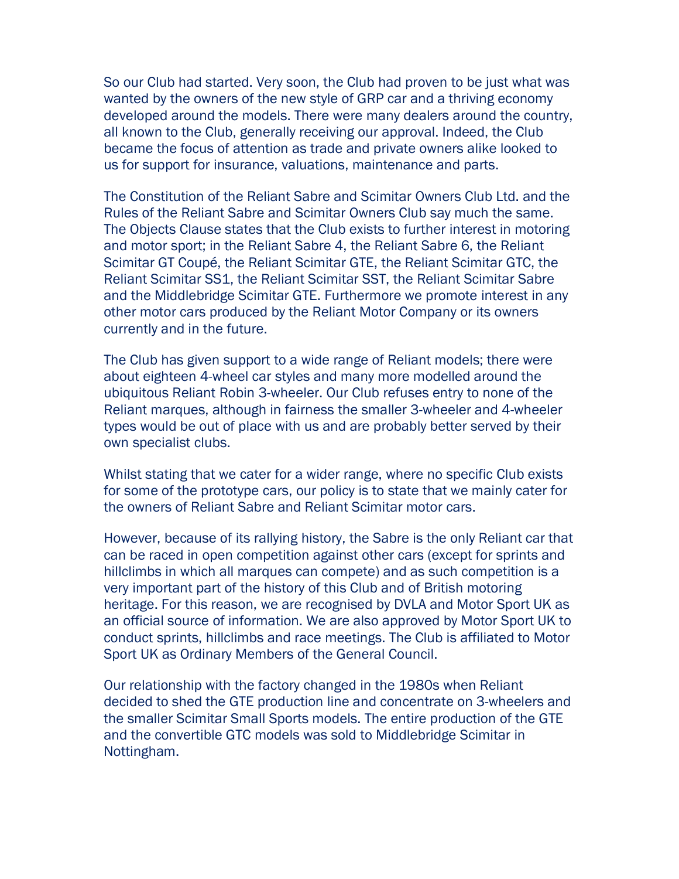So our Club had started. Very soon, the Club had proven to be just what was wanted by the owners of the new style of GRP car and a thriving economy developed around the models. There were many dealers around the country, all known to the Club, generally receiving our approval. Indeed, the Club became the focus of attention as trade and private owners alike looked to us for support for insurance, valuations, maintenance and parts.

The Constitution of the Reliant Sabre and Scimitar Owners Club Ltd. and the Rules of the Reliant Sabre and Scimitar Owners Club say much the same. The Objects Clause states that the Club exists to further interest in motoring and motor sport; in the Reliant Sabre 4, the Reliant Sabre 6, the Reliant Scimitar GT Coupé, the Reliant Scimitar GTE, the Reliant Scimitar GTC, the Reliant Scimitar SS1, the Reliant Scimitar SST, the Reliant Scimitar Sabre and the Middlebridge Scimitar GTE. Furthermore we promote interest in any other motor cars produced by the Reliant Motor Company or its owners currently and in the future.

The Club has given support to a wide range of Reliant models; there were about eighteen 4-wheel car styles and many more modelled around the ubiquitous Reliant Robin 3-wheeler. Our Club refuses entry to none of the Reliant marques, although in fairness the smaller 3-wheeler and 4-wheeler types would be out of place with us and are probably better served by their own specialist clubs.

Whilst stating that we cater for a wider range, where no specific Club exists for some of the prototype cars, our policy is to state that we mainly cater for the owners of Reliant Sabre and Reliant Scimitar motor cars.

However, because of its rallying history, the Sabre is the only Reliant car that can be raced in open competition against other cars (except for sprints and hillclimbs in which all marques can compete) and as such competition is a very important part of the history of this Club and of British motoring heritage. For this reason, we are recognised by DVLA and Motor Sport UK as an official source of information. We are also approved by Motor Sport UK to conduct sprints, hillclimbs and race meetings. The Club is affiliated to Motor Sport UK as Ordinary Members of the General Council.

Our relationship with the factory changed in the 1980s when Reliant decided to shed the GTE production line and concentrate on 3-wheelers and the smaller Scimitar Small Sports models. The entire production of the GTE and the convertible GTC models was sold to Middlebridge Scimitar in Nottingham.